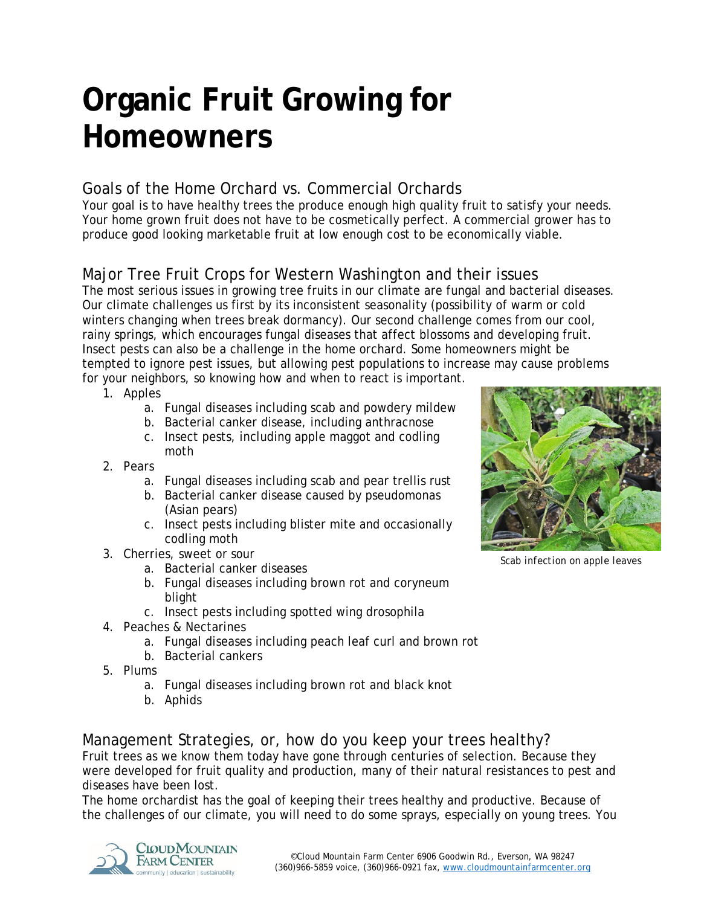# **Organic Fruit Growing for Homeowners**

### Goals of the Home Orchard vs. Commercial Orchards

Your goal is to have healthy trees the produce enough high quality fruit to satisfy your needs. Your home grown fruit does not have to be cosmetically perfect. A commercial grower has to produce good looking marketable fruit at low enough cost to be economically viable.

## Major Tree Fruit Crops for Western Washington and their issues

The most serious issues in growing tree fruits in our climate are fungal and bacterial diseases. Our climate challenges us first by its inconsistent seasonality (possibility of warm or cold winters changing when trees break dormancy). Our second challenge comes from our cool, rainy springs, which encourages fungal diseases that affect blossoms and developing fruit. Insect pests can also be a challenge in the home orchard. Some homeowners might be tempted to ignore pest issues, but allowing pest populations to increase may cause problems for your neighbors, so knowing how and when to react is important.

- 1. Apples
	- a. Fungal diseases including scab and powdery mildew
	- b. Bacterial canker disease, including anthracnose
	- c. Insect pests, including apple maggot and codling moth
- 2. Pears
	- a. Fungal diseases including scab and pear trellis rust
	- b. Bacterial canker disease caused by *pseudomonas*  (Asian pears)
	- c. Insect pests including blister mite and occasionally codling moth
- 3. Cherries, sweet or sour
	- a. Bacterial canker diseases
	- b. Fungal diseases including brown rot and coryneum blight
	- c. Insect pests including spotted wing drosophila
- 4. Peaches & Nectarines
	- a. Fungal diseases including peach leaf curl and brown rot
	- b. Bacterial cankers
- 5. Plums
	- a. Fungal diseases including brown rot and black knot
	- b. Aphids



*Scab infection on apple leaves*

Management Strategies, or, how do you keep your trees healthy? Fruit trees as we know them today have gone through centuries of selection. Because they were developed for fruit quality and production, many of their natural resistances to pest and diseases have been lost.

The home orchardist has the goal of keeping their trees healthy and productive. Because of the challenges of our climate, you will need to do some sprays, especially on young trees. You

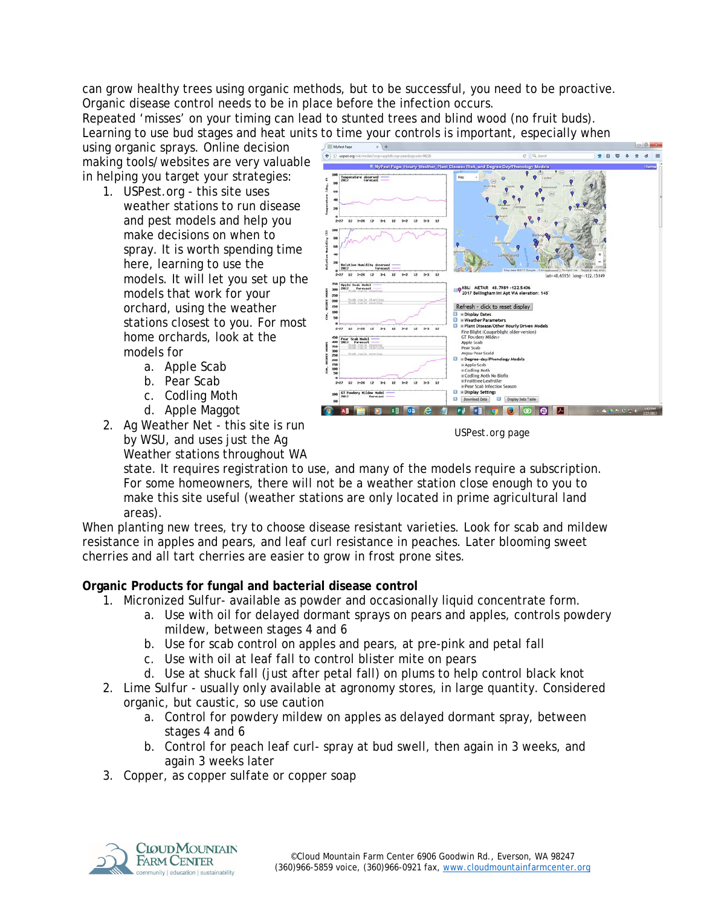can grow healthy trees using organic methods, but to be successful, you need to be proactive. Organic disease control needs to be in place before the infection occurs.

Repeated 'misses' on your timing can lead to stunted trees and blind wood (no fruit buds). Learning to use bud stages and heat units to time your controls is important, especially when

using organic sprays. Online decision making tools/websites are very valuable in helping you target your strategies:

- 1. USPest.org this site uses weather stations to run disease and pest models and help you make decisions on when to spray. It is worth spending time here, learning to use the models. It will let you set up the models that work for your orchard, using the weather stations closest to you. For most home orchards, look at the models for
	- a. Apple Scab
	- b. Pear Scab
	- c. Codling Moth
	- d. Apple Maggot
- 2. Ag Weather Net this site is run by WSU, and uses just the Ag Weather stations throughout WA



 $-0.0$ 

*USPest.org page*

state. It requires registration to use, and many of the models require a subscription. For some homeowners, there will not be a weather station close enough to you to make this site useful (weather stations are only located in prime agricultural land areas).

When planting new trees, try to choose disease resistant varieties. Look for scab and mildew resistance in apples and pears, and leaf curl resistance in peaches. Later blooming sweet cherries and all tart cherries are easier to grow in frost prone sites.

#### **Organic Products for fungal and bacterial disease control**

- 1. Micronized Sulfur- available as powder and occasionally liquid concentrate form.
	- a. Use with oil for delayed dormant sprays on pears and apples, controls powdery mildew, between stages 4 and 6
	- b. Use for scab control on apples and pears, at pre-pink and petal fall
	- c. Use with oil at leaf fall to control blister mite on pears
	- d. Use at shuck fall (just after petal fall) on plums to help control black knot
- 2. Lime Sulfur usually only available at agronomy stores, in large quantity. Considered organic, but caustic, so use caution
	- a. Control for powdery mildew on apples as delayed dormant spray, between stages 4 and 6
	- b. Control for peach leaf curl- spray at bud swell, then again in 3 weeks, and again 3 weeks later
- 3. Copper, as copper sulfate or copper soap

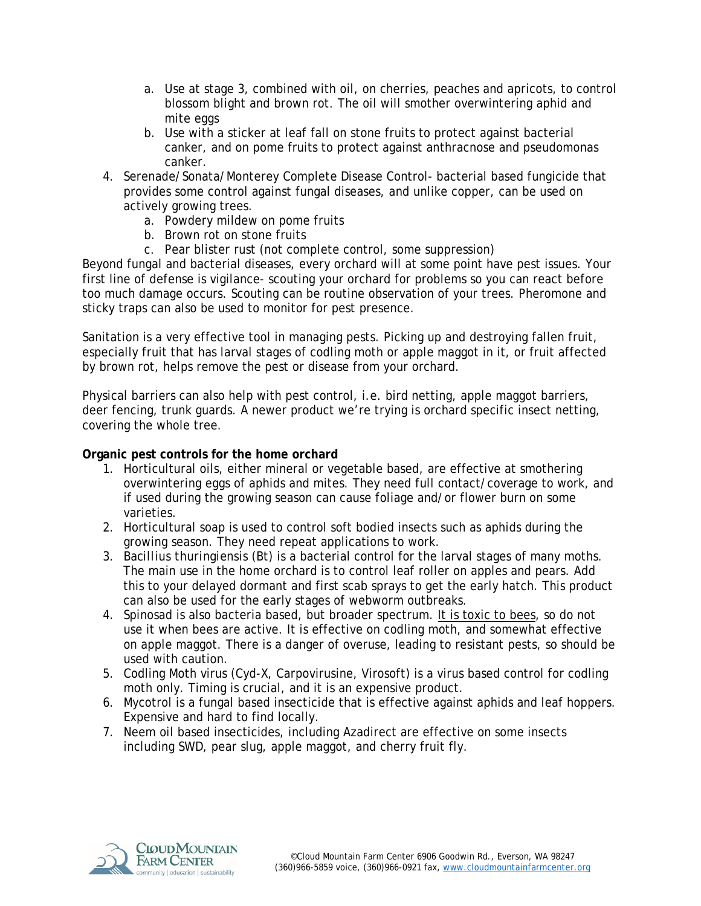- a. Use at stage 3, combined with oil, on cherries, peaches and apricots, to control blossom blight and brown rot. The oil will smother overwintering aphid and mite eggs
- b. Use with a sticker at leaf fall on stone fruits to protect against bacterial canker, and on pome fruits to protect against anthracnose and pseudomonas canker.
- 4. Serenade/Sonata/Monterey Complete Disease Control- bacterial based fungicide that provides some control against fungal diseases, and unlike copper, can be used on actively growing trees.
	- a. Powdery mildew on pome fruits
	- b. Brown rot on stone fruits
	- c. Pear blister rust (not complete control, some suppression)

Beyond fungal and bacterial diseases, every orchard will at some point have pest issues. Your first line of defense is vigilance- scouting your orchard for problems so you can react before too much damage occurs. Scouting can be routine observation of your trees. Pheromone and sticky traps can also be used to monitor for pest presence.

Sanitation is a very effective tool in managing pests. Picking up and destroying fallen fruit, especially fruit that has larval stages of codling moth or apple maggot in it, or fruit affected by brown rot, helps remove the pest or disease from your orchard.

Physical barriers can also help with pest control, i.e. bird netting, apple maggot barriers, deer fencing, trunk guards. A newer product we're trying is orchard specific insect netting, covering the whole tree.

#### **Organic pest controls for the home orchard**

- 1. Horticultural oils, either mineral or vegetable based, are effective at smothering overwintering eggs of aphids and mites. They need full contact/coverage to work, and if used during the growing season can cause foliage and/or flower burn on some varieties.
- 2. Horticultural soap is used to control soft bodied insects such as aphids during the growing season. They need repeat applications to work.
- 3. *Bacillius thuringiensis* (Bt) is a bacterial control for the larval stages of many moths. The main use in the home orchard is to control leaf roller on apples and pears. Add this to your delayed dormant and first scab sprays to get the early hatch. This product can also be used for the early stages of webworm outbreaks.
- 4. Spinosad is also bacteria based, but broader spectrum. It is toxic to bees, so do not use it when bees are active. It is effective on codling moth, and somewhat effective on apple maggot. There is a danger of overuse, leading to resistant pests, so should be used with caution.
- 5. Codling Moth virus (Cyd-X, Carpovirusine, Virosoft) is a virus based control for codling moth only. Timing is crucial, and it is an expensive product.
- 6. Mycotrol is a fungal based insecticide that is effective against aphids and leaf hoppers. Expensive and hard to find locally.
- 7. Neem oil based insecticides, including Azadirect are effective on some insects including SWD, pear slug, apple maggot, and cherry fruit fly.

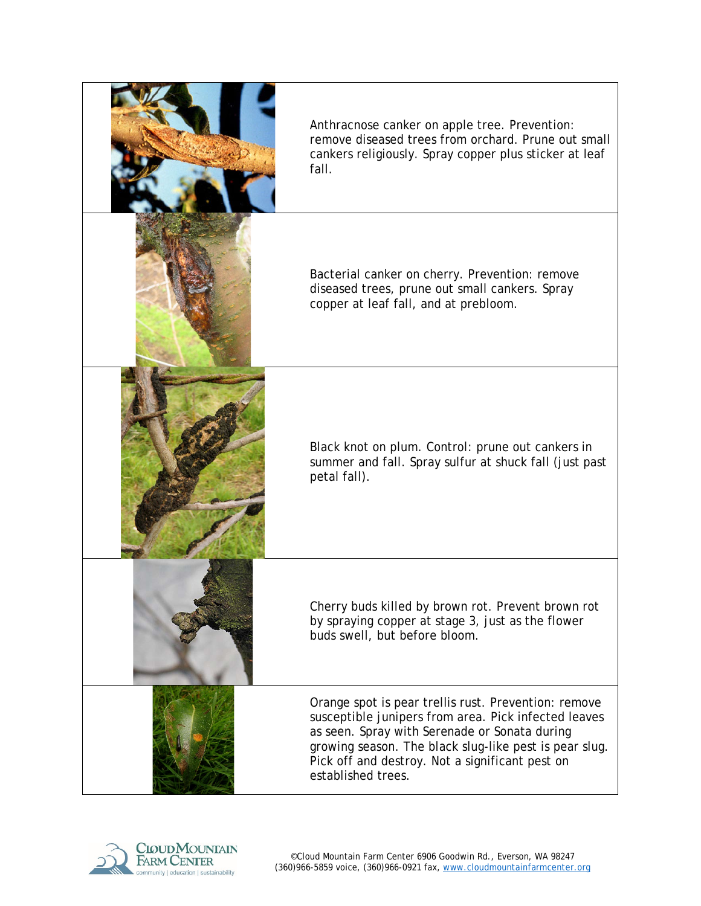